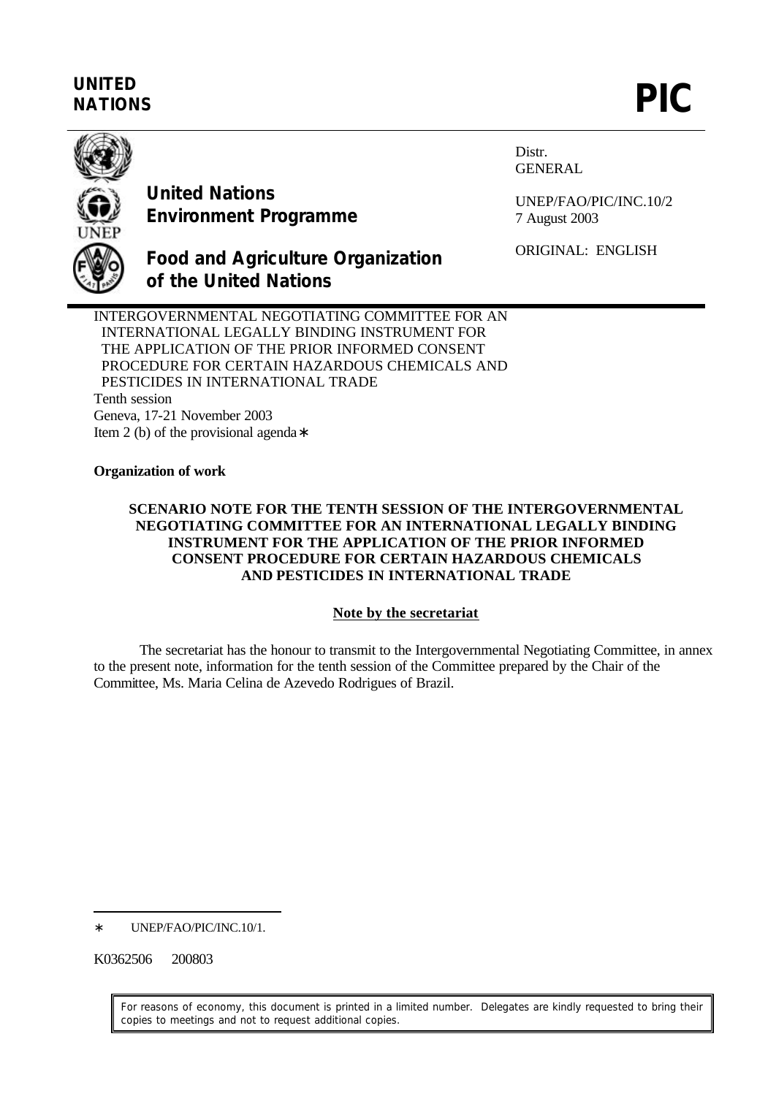# **UNITED** UNITED<br>NATIONS **PIC**



**United Nations Environment Programme** Distr. GENERAL

UNEP/FAO/PIC/INC.10/2 7 August 2003

ORIGINAL: ENGLISH

**Food and Agriculture Organization of the United Nations**

INTERGOVERNMENTAL NEGOTIATING COMMITTEE FOR AN INTERNATIONAL LEGALLY BINDING INSTRUMENT FOR THE APPLICATION OF THE PRIOR INFORMED CONSENT PROCEDURE FOR CERTAIN HAZARDOUS CHEMICALS AND PESTICIDES IN INTERNATIONAL TRADE Tenth session Geneva, 17-21 November 2003 Item 2 (b) of the provisional agenda∗

# **Organization of work**

## **SCENARIO NOTE FOR THE TENTH SESSION OF THE INTERGOVERNMENTAL NEGOTIATING COMMITTEE FOR AN INTERNATIONAL LEGALLY BINDING INSTRUMENT FOR THE APPLICATION OF THE PRIOR INFORMED CONSENT PROCEDURE FOR CERTAIN HAZARDOUS CHEMICALS AND PESTICIDES IN INTERNATIONAL TRADE**

## **Note by the secretariat**

The secretariat has the honour to transmit to the Intergovernmental Negotiating Committee, in annex to the present note, information for the tenth session of the Committee prepared by the Chair of the Committee, Ms. Maria Celina de Azevedo Rodrigues of Brazil.

UNEP/FAO/PIC/INC.10/1.

K0362506 200803

 $\overline{a}$ 

For reasons of economy, this document is printed in a limited number. Delegates are kindly requested to bring their copies to meetings and not to request additional copies.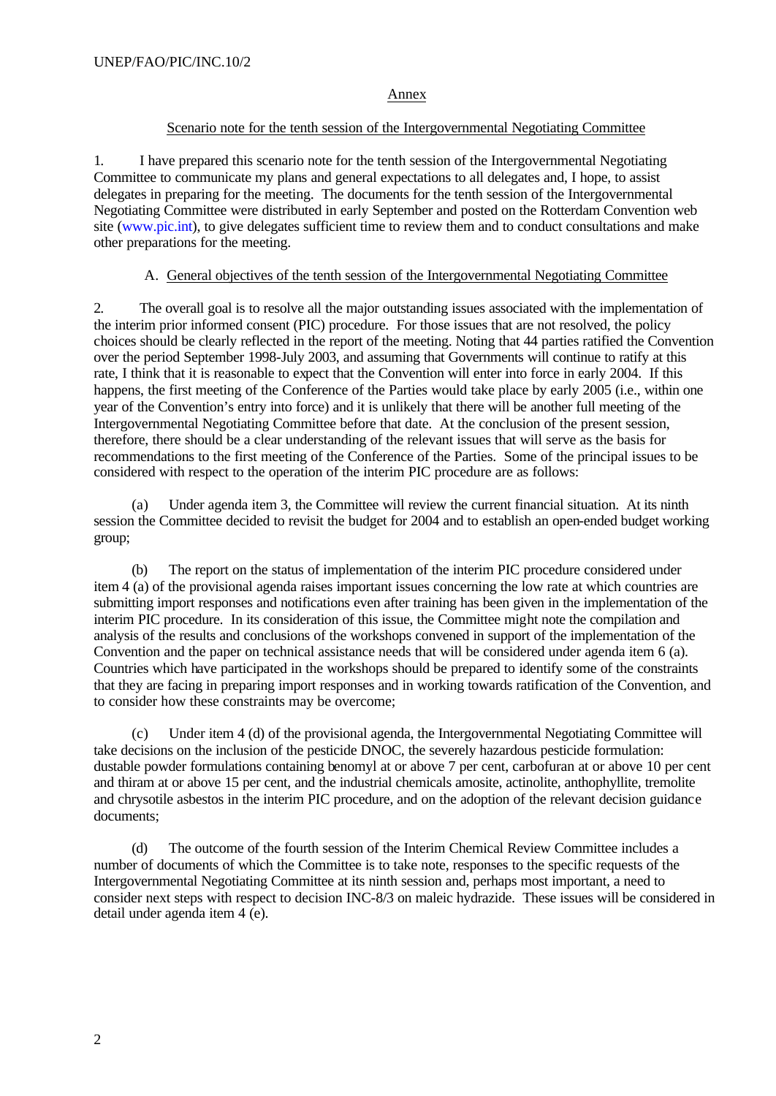#### Annex

#### Scenario note for the tenth session of the Intergovernmental Negotiating Committee

1. I have prepared this scenario note for the tenth session of the Intergovernmental Negotiating Committee to communicate my plans and general expectations to all delegates and, I hope, to assist delegates in preparing for the meeting. The documents for the tenth session of the Intergovernmental Negotiating Committee were distributed in early September and posted on the Rotterdam Convention web site (www.pic.int), to give delegates sufficient time to review them and to conduct consultations and make other preparations for the meeting.

#### A. General objectives of the tenth session of the Intergovernmental Negotiating Committee

2. The overall goal is to resolve all the major outstanding issues associated with the implementation of the interim prior informed consent (PIC) procedure. For those issues that are not resolved, the policy choices should be clearly reflected in the report of the meeting. Noting that 44 parties ratified the Convention over the period September 1998-July 2003, and assuming that Governments will continue to ratify at this rate, I think that it is reasonable to expect that the Convention will enter into force in early 2004. If this happens, the first meeting of the Conference of the Parties would take place by early 2005 (i.e., within one year of the Convention's entry into force) and it is unlikely that there will be another full meeting of the Intergovernmental Negotiating Committee before that date. At the conclusion of the present session, therefore, there should be a clear understanding of the relevant issues that will serve as the basis for recommendations to the first meeting of the Conference of the Parties. Some of the principal issues to be considered with respect to the operation of the interim PIC procedure are as follows:

(a) Under agenda item 3, the Committee will review the current financial situation. At its ninth session the Committee decided to revisit the budget for 2004 and to establish an open-ended budget working group;

(b) The report on the status of implementation of the interim PIC procedure considered under item 4 (a) of the provisional agenda raises important issues concerning the low rate at which countries are submitting import responses and notifications even after training has been given in the implementation of the interim PIC procedure. In its consideration of this issue, the Committee might note the compilation and analysis of the results and conclusions of the workshops convened in support of the implementation of the Convention and the paper on technical assistance needs that will be considered under agenda item 6 (a). Countries which have participated in the workshops should be prepared to identify some of the constraints that they are facing in preparing import responses and in working towards ratification of the Convention, and to consider how these constraints may be overcome;

(c) Under item 4 (d) of the provisional agenda, the Intergovernmental Negotiating Committee will take decisions on the inclusion of the pesticide DNOC, the severely hazardous pesticide formulation: dustable powder formulations containing benomyl at or above 7 per cent, carbofuran at or above 10 per cent and thiram at or above 15 per cent, and the industrial chemicals amosite, actinolite, anthophyllite, tremolite and chrysotile asbestos in the interim PIC procedure, and on the adoption of the relevant decision guidance documents;

(d) The outcome of the fourth session of the Interim Chemical Review Committee includes a number of documents of which the Committee is to take note, responses to the specific requests of the Intergovernmental Negotiating Committee at its ninth session and, perhaps most important, a need to consider next steps with respect to decision INC-8/3 on maleic hydrazide. These issues will be considered in detail under agenda item 4 (e).